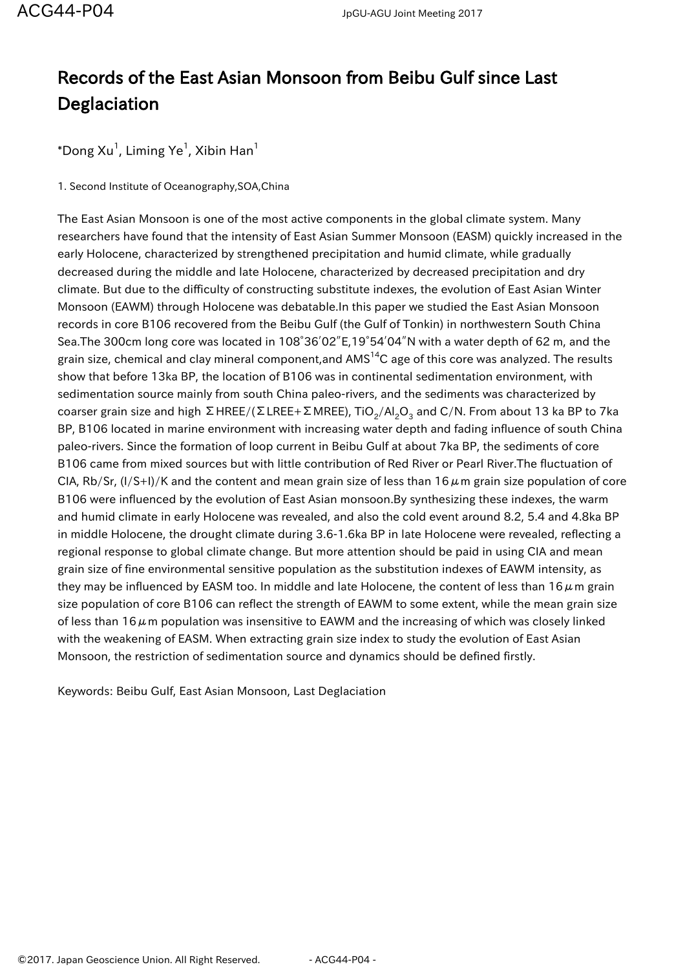## Records of the East Asian Monsoon from Beibu Gulf since Last Deglaciation

 $^*$ Dong Xu $^1$ , Liming Ye $^1$ , Xibin Han $^1$ 

1. Second Institute of Oceanography,SOA,China

The East Asian Monsoon is one of the most active components in the global climate system. Many researchers have found that the intensity of East Asian Summer Monsoon (EASM) quickly increased in the early Holocene, characterized by strengthened precipitation and humid climate, while gradually decreased during the middle and late Holocene, characterized by decreased precipitation and dry climate. But due to the difficulty of constructing substitute indexes, the evolution of East Asian Winter Monsoon (EAWM) through Holocene was debatable.In this paper we studied the East Asian Monsoon records in core B106 recovered from the Beibu Gulf (the Gulf of Tonkin) in northwestern South China Sea.The 300cm long core was located in 108°36′02″E,19°54′04″N with a water depth of 62 m, and the grain size, chemical and clay mineral component, and  $AMS<sup>14</sup>C$  age of this core was analyzed. The results show that before 13ka BP, the location of B106 was in continental sedimentation environment, with sedimentation source mainly from south China paleo-rivers, and the sediments was characterized by coarser grain size and high ΣΗREE/(ΣLREE+ΣΜREE), TiO $_2$ /Al $_2$ O $_3$  and C/N. From about 13 ka BP to 7ka BP, B106 located in marine environment with increasing water depth and fading influence of south China paleo-rivers. Since the formation of loop current in Beibu Gulf at about 7ka BP, the sediments of core B106 came from mixed sources but with little contribution of Red River or Pearl River.The fluctuation of CIA, Rb/Sr,  $(1/S+1)/K$  and the content and mean grain size of less than 16 $\mu$ m grain size population of core B106 were influenced by the evolution of East Asian monsoon.By synthesizing these indexes, the warm and humid climate in early Holocene was revealed, and also the cold event around 8.2, 5.4 and 4.8ka BP in middle Holocene, the drought climate during 3.6-1.6ka BP in late Holocene were revealed, reflecting a regional response to global climate change. But more attention should be paid in using CIA and mean grain size of fine environmental sensitive population as the substitution indexes of EAWM intensity, as they may be influenced by EASM too. In middle and late Holocene, the content of less than  $16 \mu$ m grain size population of core B106 can reflect the strength of EAWM to some extent, while the mean grain size of less than 16 $\mu$ m population was insensitive to EAWM and the increasing of which was closely linked with the weakening of EASM. When extracting grain size index to study the evolution of East Asian Monsoon, the restriction of sedimentation source and dynamics should be defined firstly.

Keywords: Beibu Gulf, East Asian Monsoon, Last Deglaciation